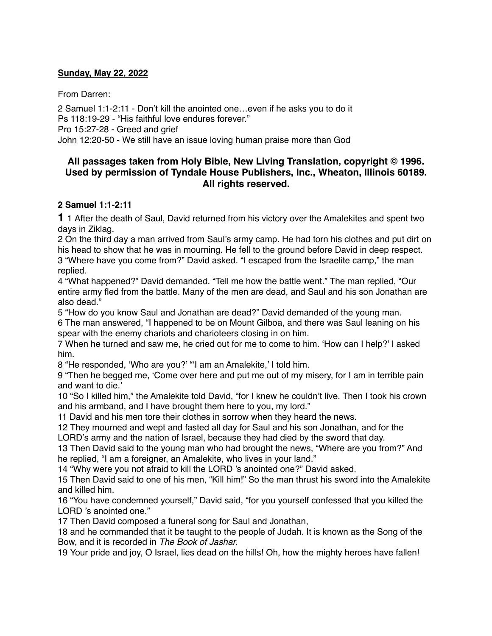## **Sunday, May 22, 2022**

From Darren:

2 Samuel 1:1-2:11 - Don't kill the anointed one…even if he asks you to do it Ps 118:19-29 - "His faithful love endures forever." Pro 15:27-28 - Greed and grief John 12:20-50 - We still have an issue loving human praise more than God

# **All passages taken from Holy Bible, [New Living Translation](http://www.newlivingtranslation.com/), copyright © 1996. Used by permission of [Tyndale House Publishers](http://tyndale.com/), Inc., Wheaton, Illinois 60189. All rights reserved.**

### **2 Samuel 1:1-2:11**

**1** 1 After the death of Saul, David returned from his victory over the Amalekites and spent two days in Ziklag.

2 On the third day a man arrived from Saul's army camp. He had torn his clothes and put dirt on his head to show that he was in mourning. He fell to the ground before David in deep respect. 3 "Where have you come from?" David asked. "I escaped from the Israelite camp," the man replied.

4 "What happened?" David demanded. "Tell me how the battle went." The man replied, "Our entire army fled from the battle. Many of the men are dead, and Saul and his son Jonathan are also dead."

5 "How do you know Saul and Jonathan are dead?" David demanded of the young man.

6 The man answered, "I happened to be on Mount Gilboa, and there was Saul leaning on his spear with the enemy chariots and charioteers closing in on him.

7 When he turned and saw me, he cried out for me to come to him. 'How can I help?' I asked him.

8 "He responded, 'Who are you?' "'I am an Amalekite,' I told him.

9 "Then he begged me, 'Come over here and put me out of my misery, for I am in terrible pain and want to die.'

10 "So I killed him," the Amalekite told David, "for I knew he couldn't live. Then I took his crown and his armband, and I have brought them here to you, my lord."

11 David and his men tore their clothes in sorrow when they heard the news.

12 They mourned and wept and fasted all day for Saul and his son Jonathan, and for the LORD's army and the nation of Israel, because they had died by the sword that day.

13 Then David said to the young man who had brought the news, "Where are you from?" And he replied, "I am a foreigner, an Amalekite, who lives in your land."

14 "Why were you not afraid to kill the LORD 's anointed one?" David asked.

15 Then David said to one of his men, "Kill him!" So the man thrust his sword into the Amalekite and killed him.

16 "You have condemned yourself," David said, "for you yourself confessed that you killed the LORD 's anointed one."

17 Then David composed a funeral song for Saul and Jonathan,

18 and he commanded that it be taught to the people of Judah. It is known as the Song of the Bow, and it is recorded in *The Book of Jashar.*

19 Your pride and joy, O Israel, lies dead on the hills! Oh, how the mighty heroes have fallen!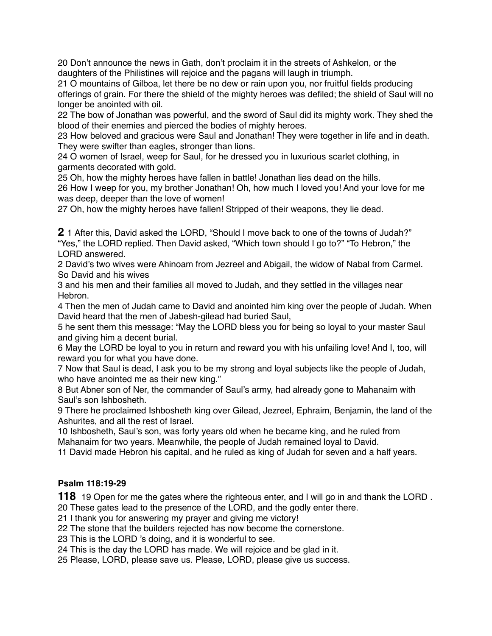20 Don't announce the news in Gath, don't proclaim it in the streets of Ashkelon, or the daughters of the Philistines will rejoice and the pagans will laugh in triumph.

21 O mountains of Gilboa, let there be no dew or rain upon you, nor fruitful fields producing offerings of grain. For there the shield of the mighty heroes was defiled; the shield of Saul will no longer be anointed with oil.

22 The bow of Jonathan was powerful, and the sword of Saul did its mighty work. They shed the blood of their enemies and pierced the bodies of mighty heroes.

23 How beloved and gracious were Saul and Jonathan! They were together in life and in death. They were swifter than eagles, stronger than lions.

24 O women of Israel, weep for Saul, for he dressed you in luxurious scarlet clothing, in garments decorated with gold.

25 Oh, how the mighty heroes have fallen in battle! Jonathan lies dead on the hills.

26 How I weep for you, my brother Jonathan! Oh, how much I loved you! And your love for me was deep, deeper than the love of women!

27 Oh, how the mighty heroes have fallen! Stripped of their weapons, they lie dead.

**2** 1 After this, David asked the LORD, "Should I move back to one of the towns of Judah?" "Yes," the LORD replied. Then David asked, "Which town should I go to?" "To Hebron," the LORD answered.

2 David's two wives were Ahinoam from Jezreel and Abigail, the widow of Nabal from Carmel. So David and his wives

3 and his men and their families all moved to Judah, and they settled in the villages near Hebron.

4 Then the men of Judah came to David and anointed him king over the people of Judah. When David heard that the men of Jabesh-gilead had buried Saul,

5 he sent them this message: "May the LORD bless you for being so loyal to your master Saul and giving him a decent burial.

6 May the LORD be loyal to you in return and reward you with his unfailing love! And I, too, will reward you for what you have done.

7 Now that Saul is dead, I ask you to be my strong and loyal subjects like the people of Judah, who have anointed me as their new king."

8 But Abner son of Ner, the commander of Saul's army, had already gone to Mahanaim with Saul's son Ishbosheth.

9 There he proclaimed Ishbosheth king over Gilead, Jezreel, Ephraim, Benjamin, the land of the Ashurites, and all the rest of Israel.

10 Ishbosheth, Saul's son, was forty years old when he became king, and he ruled from Mahanaim for two years. Meanwhile, the people of Judah remained loyal to David.

11 David made Hebron his capital, and he ruled as king of Judah for seven and a half years.

# **Psalm 118:19-29**

**118** 19 Open for me the gates where the righteous enter, and I will go in and thank the LORD . 20 These gates lead to the presence of the LORD, and the godly enter there.

21 I thank you for answering my prayer and giving me victory!

22 The stone that the builders rejected has now become the cornerstone.

23 This is the LORD 's doing, and it is wonderful to see.

24 This is the day the LORD has made. We will rejoice and be glad in it.

25 Please, LORD, please save us. Please, LORD, please give us success.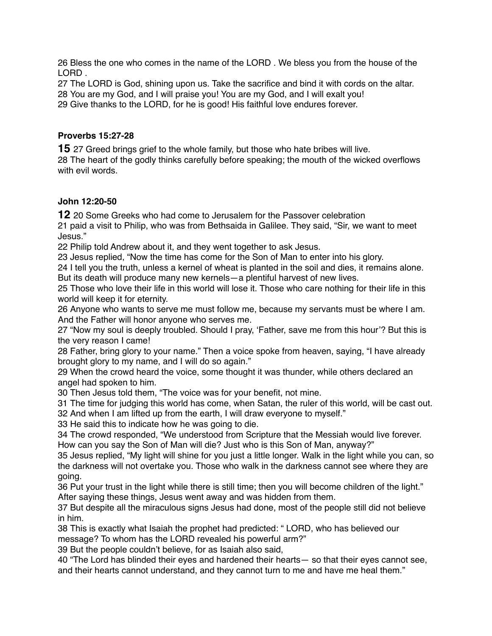26 Bless the one who comes in the name of the LORD . We bless you from the house of the LORD .

27 The LORD is God, shining upon us. Take the sacrifice and bind it with cords on the altar. 28 You are my God, and I will praise you! You are my God, and I will exalt you! 29 Give thanks to the LORD, for he is good! His faithful love endures forever.

## **Proverbs 15:27-28**

**15** 27 Greed brings grief to the whole family, but those who hate bribes will live. 28 The heart of the godly thinks carefully before speaking; the mouth of the wicked overflows with evil words.

### **John 12:20-50**

**12** 20 Some Greeks who had come to Jerusalem for the Passover celebration

21 paid a visit to Philip, who was from Bethsaida in Galilee. They said, "Sir, we want to meet Jesus."

22 Philip told Andrew about it, and they went together to ask Jesus.

23 Jesus replied, "Now the time has come for the Son of Man to enter into his glory.

24 I tell you the truth, unless a kernel of wheat is planted in the soil and dies, it remains alone. But its death will produce many new kernels—a plentiful harvest of new lives.

25 Those who love their life in this world will lose it. Those who care nothing for their life in this world will keep it for eternity.

26 Anyone who wants to serve me must follow me, because my servants must be where I am. And the Father will honor anyone who serves me.

27 "Now my soul is deeply troubled. Should I pray, 'Father, save me from this hour'? But this is the very reason I came!

28 Father, bring glory to your name." Then a voice spoke from heaven, saying, "I have already brought glory to my name, and I will do so again."

29 When the crowd heard the voice, some thought it was thunder, while others declared an angel had spoken to him.

30 Then Jesus told them, "The voice was for your benefit, not mine.

31 The time for judging this world has come, when Satan, the ruler of this world, will be cast out. 32 And when I am lifted up from the earth, I will draw everyone to myself."

33 He said this to indicate how he was going to die.

34 The crowd responded, "We understood from Scripture that the Messiah would live forever. How can you say the Son of Man will die? Just who is this Son of Man, anyway?"

35 Jesus replied, "My light will shine for you just a little longer. Walk in the light while you can, so the darkness will not overtake you. Those who walk in the darkness cannot see where they are going.

36 Put your trust in the light while there is still time; then you will become children of the light." After saying these things, Jesus went away and was hidden from them.

37 But despite all the miraculous signs Jesus had done, most of the people still did not believe in him.

38 This is exactly what Isaiah the prophet had predicted: " LORD, who has believed our message? To whom has the LORD revealed his powerful arm?"

39 But the people couldn't believe, for as Isaiah also said,

40 "The Lord has blinded their eyes and hardened their hearts— so that their eyes cannot see, and their hearts cannot understand, and they cannot turn to me and have me heal them."